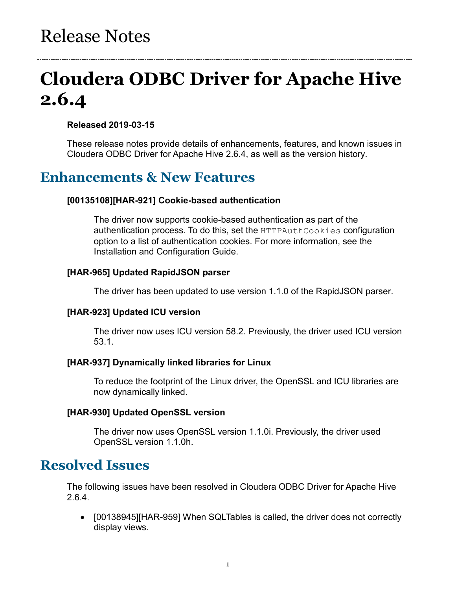# **Cloudera ODBC Driver for Apache Hive 2.6.4**

### **Released 2019-03-15**

These release notes provide details of enhancements, features, and known issues in Cloudera ODBC Driver for Apache Hive 2.6.4, as well as the version history.

### **Enhancements & New Features**

### **[00135108][HAR-921] Cookie-based authentication**

The driver now supports cookie-based authentication as part of the authentication process. To do this, set the HTTPAuthCookies configuration option to a list of authentication cookies. For more information, see the Installation and Configuration Guide.

### **[HAR-965] Updated RapidJSON parser**

The driver has been updated to use version 1.1.0 of the RapidJSON parser.

### **[HAR-923] Updated ICU version**

The driver now uses ICU version 58.2. Previously, the driver used ICU version 53.1.

#### **[HAR-937] Dynamically linked libraries for Linux**

To reduce the footprint of the Linux driver, the OpenSSL and ICU libraries are now dynamically linked.

#### **[HAR-930] Updated OpenSSL version**

The driver now uses OpenSSL version 1.1.0i. Previously, the driver used OpenSSL version 1.1.0h.

### **Resolved Issues**

The following issues have been resolved in Cloudera ODBC Driver for Apache Hive 2.6.4.

• [00138945][HAR-959] When SQLTables is called, the driver does not correctly display views.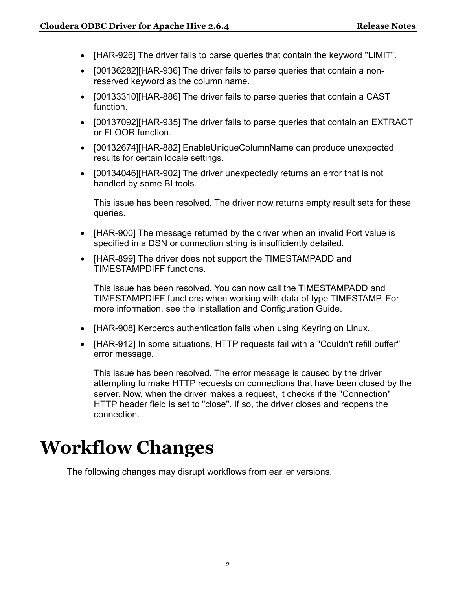- [HAR-926] The driver fails to parse queries that contain the keyword "LIMIT".
- [00136282][HAR-936] The driver fails to parse queries that contain a nonreserved keyword as the column name.
- [00133310][HAR-886] The driver fails to parse queries that contain a CAST function.
- [00137092][HAR-935] The driver fails to parse queries that contain an EXTRACT or FLOOR function.
- [00132674][HAR-882] EnableUniqueColumnName can produce unexpected results for certain locale settings.
- [00134046][HAR-902] The driver unexpectedly returns an error that is not handled by some BI tools.

This issue has been resolved. The driver now returns empty result sets for these queries.

- [HAR-900] The message returned by the driver when an invalid Port value is specified in a DSN or connection string is insufficiently detailed.
- [HAR-899] The driver does not support the TIMESTAMPADD and TIMESTAMPDIFF functions.

This issue has been resolved. You can now call the TIMESTAMPADD and TIMESTAMPDIFF functions when working with data of type TIMESTAMP. For more information, see the Installation and Configuration Guide.

- [HAR-908] Kerberos authentication fails when using Keyring on Linux.
- [HAR-912] In some situations, HTTP requests fail with a "Couldn't refill buffer" error message.

This issue has been resolved. The error message is caused by the driver attempting to make HTTP requests on connections that have been closed by the server. Now, when the driver makes a request, it checks if the "Connection" HTTP header field is set to "close". If so, the driver closes and reopens the connection.

# **Workflow Changes**

The following changes may disrupt workflows from earlier versions.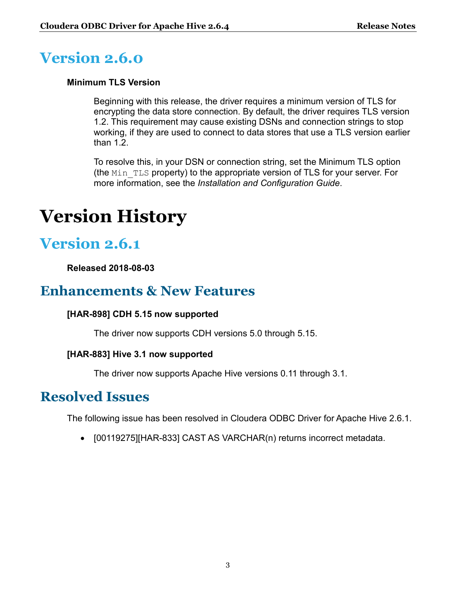## **Version 2.6.0**

### **Minimum TLS Version**

Beginning with this release, the driver requires a minimum version of TLS for encrypting the data store connection. By default, the driver requires TLS version 1.2. This requirement may cause existing DSNs and connection strings to stop working, if they are used to connect to data stores that use a TLS version earlier than 1.2.

To resolve this, in your DSN or connection string, set the Minimum TLS option (the  $Min$  TLS property) to the appropriate version of TLS for your server. For more information, see the *Installation and Configuration Guide*.

# **Version History**

## **Version 2.6.1**

**Released 2018-08-03**

### **Enhancements & New Features**

### **[HAR-898] CDH 5.15 now supported**

The driver now supports CDH versions 5.0 through 5.15.

### **[HAR-883] Hive 3.1 now supported**

The driver now supports Apache Hive versions 0.11 through 3.1.

### **Resolved Issues**

The following issue has been resolved in Cloudera ODBC Driver for Apache Hive 2.6.1.

• [00119275][HAR-833] CAST AS VARCHAR(n) returns incorrect metadata.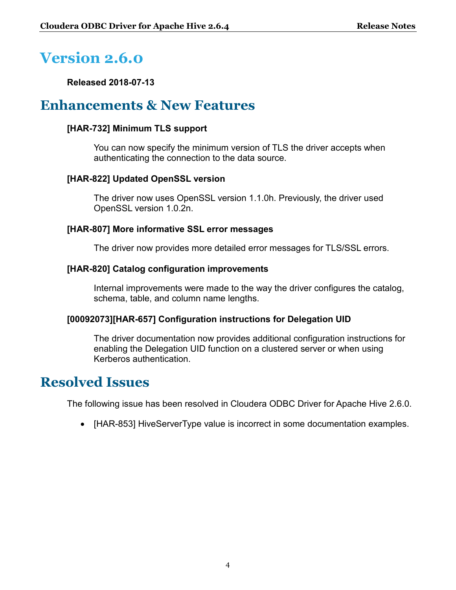## **Version 2.6.0**

**Released 2018-07-13**

### **Enhancements & New Features**

### **[HAR-732] Minimum TLS support**

You can now specify the minimum version of TLS the driver accepts when authenticating the connection to the data source.

### **[HAR-822] Updated OpenSSL version**

The driver now uses OpenSSL version 1.1.0h. Previously, the driver used OpenSSL version 1.0.2n.

### **[HAR-807] More informative SSL error messages**

The driver now provides more detailed error messages for TLS/SSL errors.

### **[HAR-820] Catalog configuration improvements**

Internal improvements were made to the way the driver configures the catalog, schema, table, and column name lengths.

#### **[00092073][HAR-657] Configuration instructions for Delegation UID**

The driver documentation now provides additional configuration instructions for enabling the Delegation UID function on a clustered server or when using Kerberos authentication.

### **Resolved Issues**

The following issue has been resolved in Cloudera ODBC Driver for Apache Hive 2.6.0.

• [HAR-853] HiveServerType value is incorrect in some documentation examples.